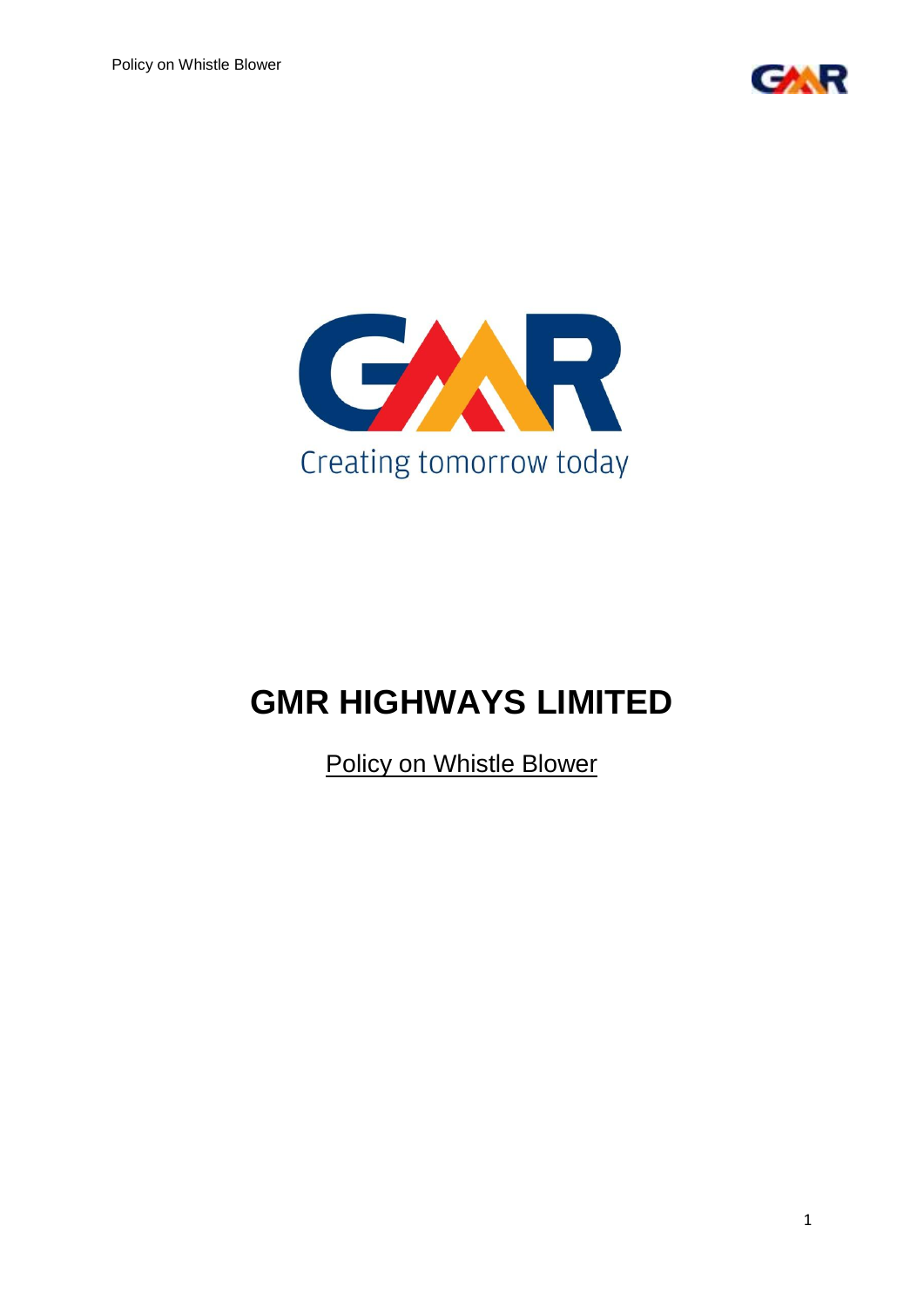



# **GMR HIGHWAYS LIMITED**

Policy on Whistle Blower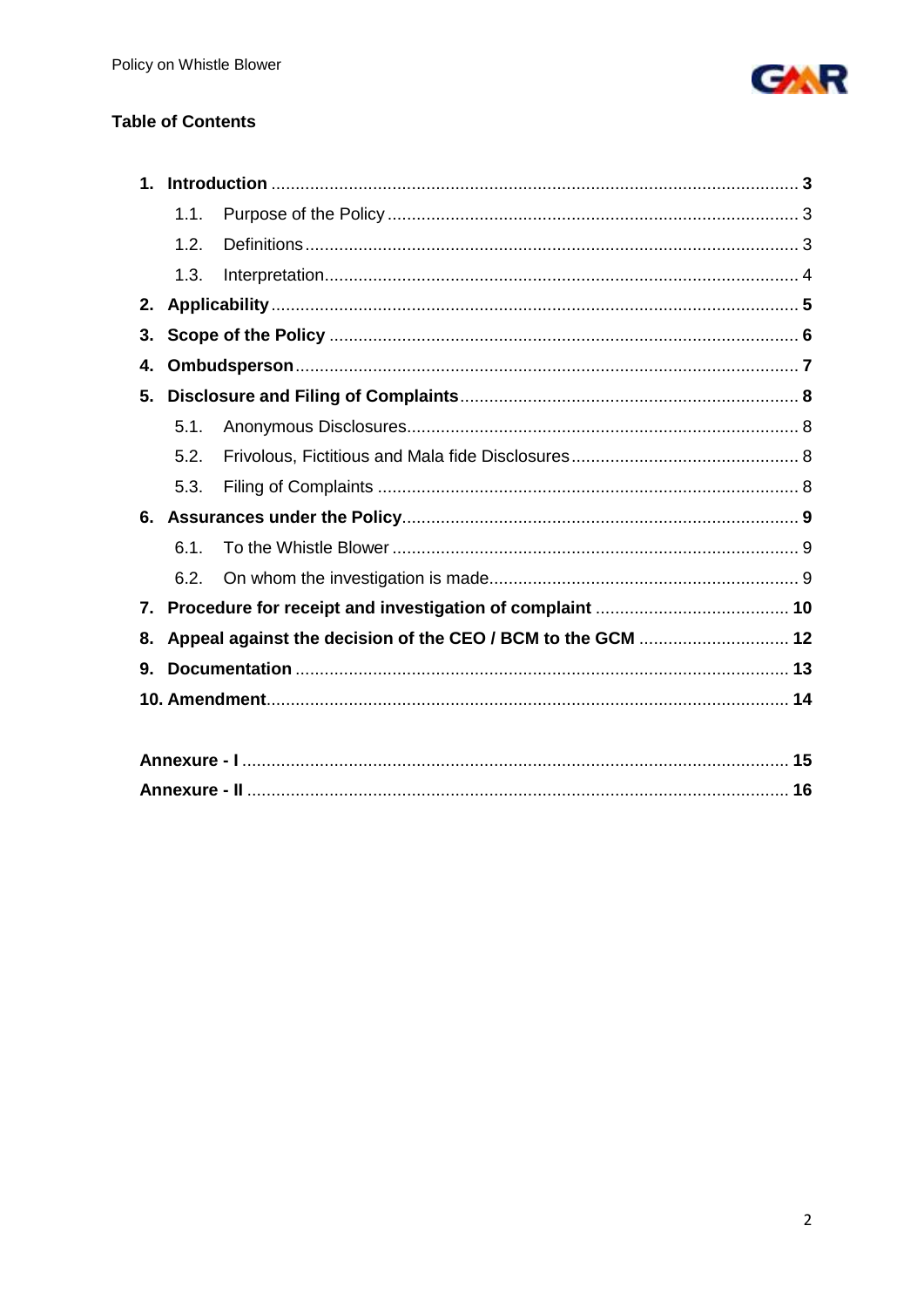

# **Table of Contents**

| 1. |      |  |  |  |  |
|----|------|--|--|--|--|
|    | 1.1. |  |  |  |  |
|    | 1.2. |  |  |  |  |
|    | 1.3. |  |  |  |  |
| 2. |      |  |  |  |  |
| 3. |      |  |  |  |  |
| 4. |      |  |  |  |  |
| 5. |      |  |  |  |  |
|    | 5.1  |  |  |  |  |
|    | 5.2. |  |  |  |  |
|    | 5.3. |  |  |  |  |
| 6. |      |  |  |  |  |
|    | 6.1. |  |  |  |  |
|    | 6.2. |  |  |  |  |
| 7. |      |  |  |  |  |
| 8. |      |  |  |  |  |
| 9. |      |  |  |  |  |
|    |      |  |  |  |  |
|    |      |  |  |  |  |
|    |      |  |  |  |  |
|    |      |  |  |  |  |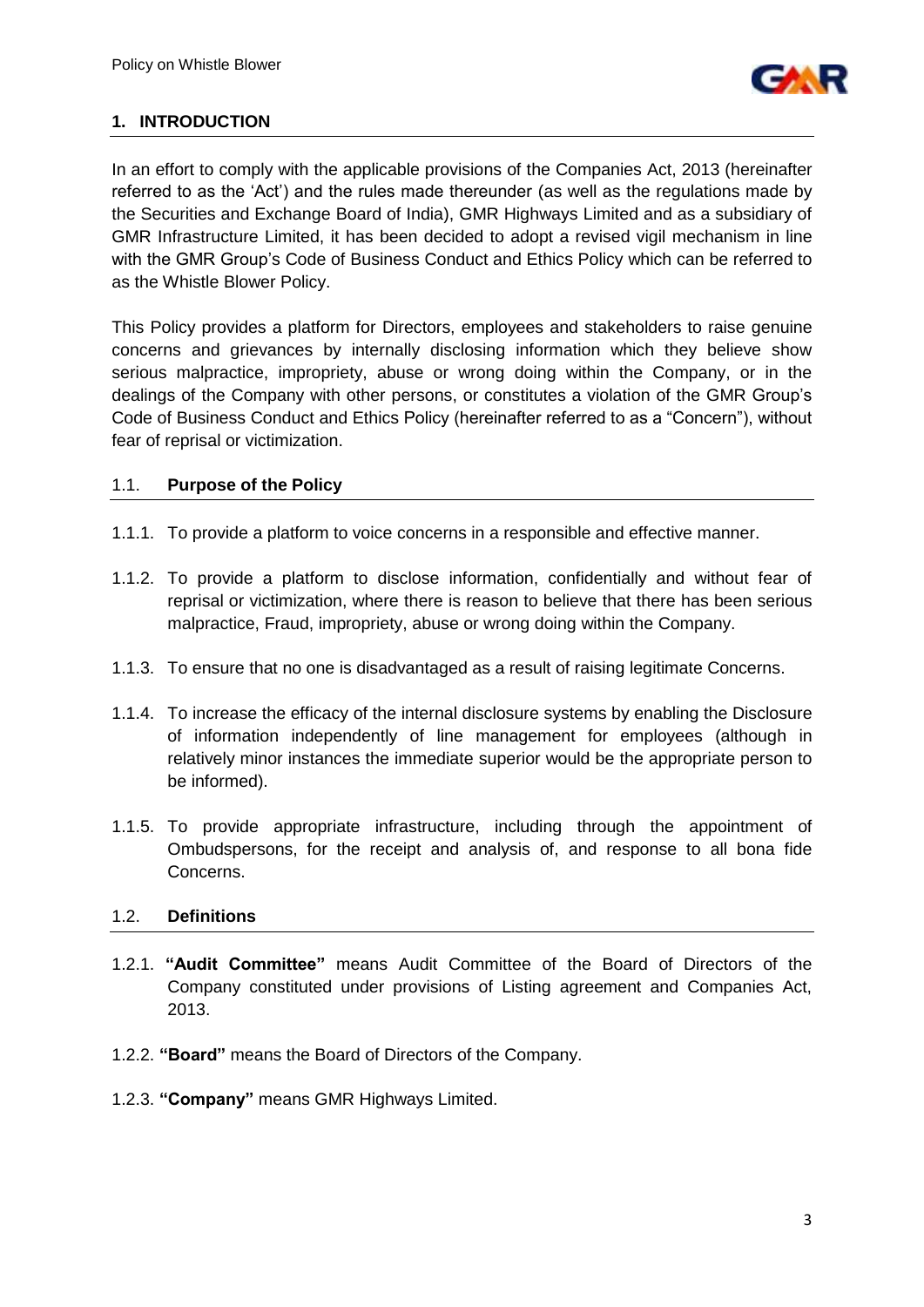

## **1. INTRODUCTION**

In an effort to comply with the applicable provisions of the Companies Act, 2013 (hereinafter referred to as the "Act") and the rules made thereunder (as well as the regulations made by the Securities and Exchange Board of India), GMR Highways Limited and as a subsidiary of GMR Infrastructure Limited, it has been decided to adopt a revised vigil mechanism in line with the GMR Group's Code of Business Conduct and Ethics Policy which can be referred to as the Whistle Blower Policy.

This Policy provides a platform for Directors, employees and stakeholders to raise genuine concerns and grievances by internally disclosing information which they believe show serious malpractice, impropriety, abuse or wrong doing within the Company, or in the dealings of the Company with other persons, or constitutes a violation of the GMR Group"s Code of Business Conduct and Ethics Policy (hereinafter referred to as a "Concern"), without fear of reprisal or victimization.

#### 1.1. **Purpose of the Policy**

- 1.1.1. To provide a platform to voice concerns in a responsible and effective manner.
- 1.1.2. To provide a platform to disclose information, confidentially and without fear of reprisal or victimization, where there is reason to believe that there has been serious malpractice, Fraud, impropriety, abuse or wrong doing within the Company.
- 1.1.3. To ensure that no one is disadvantaged as a result of raising legitimate Concerns.
- 1.1.4. To increase the efficacy of the internal disclosure systems by enabling the Disclosure of information independently of line management for employees (although in relatively minor instances the immediate superior would be the appropriate person to be informed).
- 1.1.5. To provide appropriate infrastructure, including through the appointment of Ombudspersons, for the receipt and analysis of, and response to all bona fide Concerns.

#### 1.2. **Definitions**

- 1.2.1. **"Audit Committee"** means Audit Committee of the Board of Directors of the Company constituted under provisions of Listing agreement and Companies Act, 2013.
- 1.2.2. **"Board"** means the Board of Directors of the Company.
- 1.2.3. **"Company"** means GMR Highways Limited.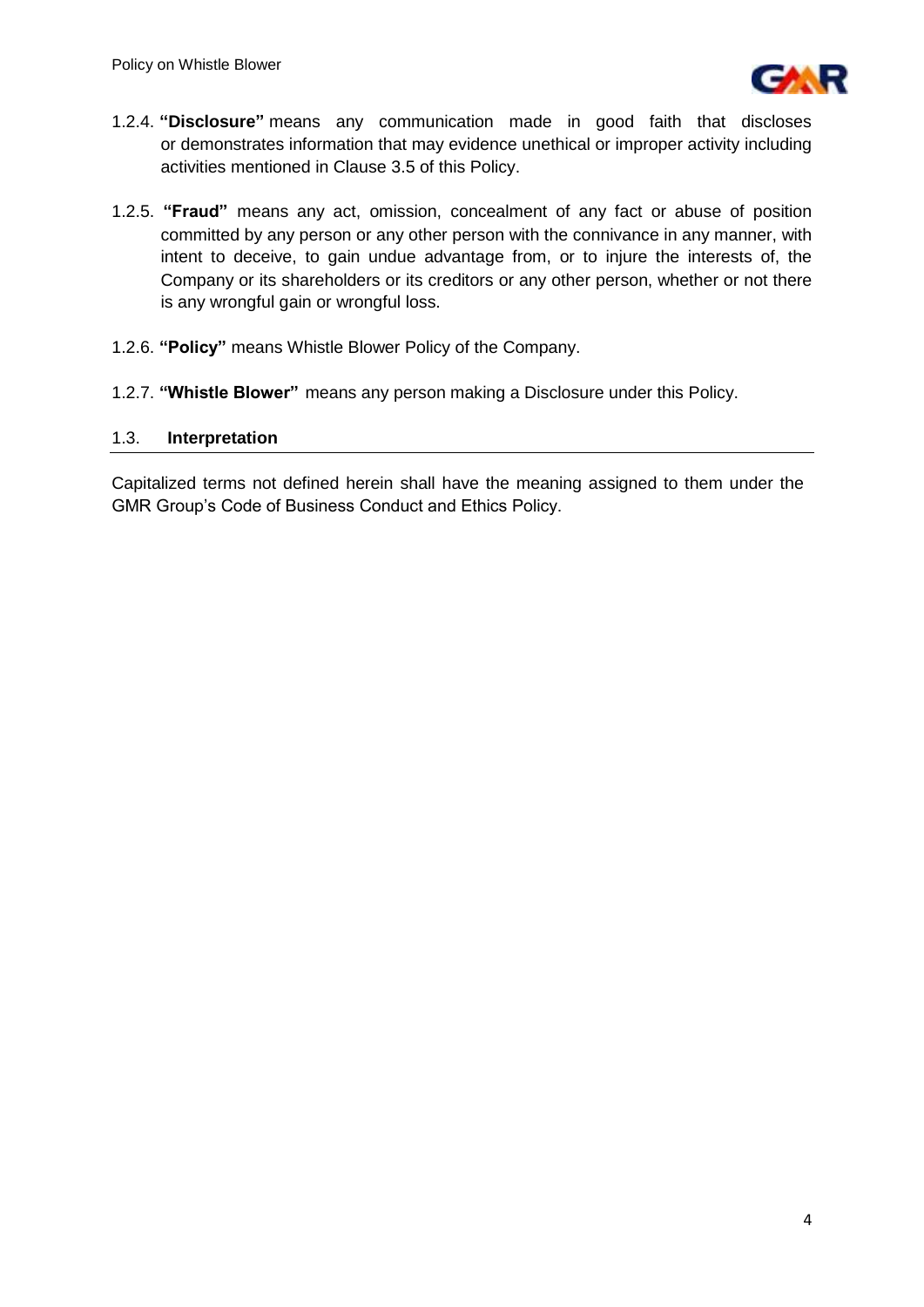

- 1.2.4. **"Disclosure"** means any communication made in good faith that discloses or demonstrates information that may evidence unethical or improper activity including activities mentioned in Clause 3.5 of this Policy.
- 1.2.5. **"Fraud"** means any act, omission, concealment of any fact or abuse of position committed by any person or any other person with the connivance in any manner, with intent to deceive, to gain undue advantage from, or to injure the interests of, the Company or its shareholders or its creditors or any other person, whether or not there is any wrongful gain or wrongful loss.
- 1.2.6. **"Policy"** means Whistle Blower Policy of the Company.
- 1.2.7. **"Whistle Blower"** means any person making a Disclosure under this Policy.

## 1.3. **Interpretation**

Capitalized terms not defined herein shall have the meaning assigned to them under the GMR Group"s Code of Business Conduct and Ethics Policy.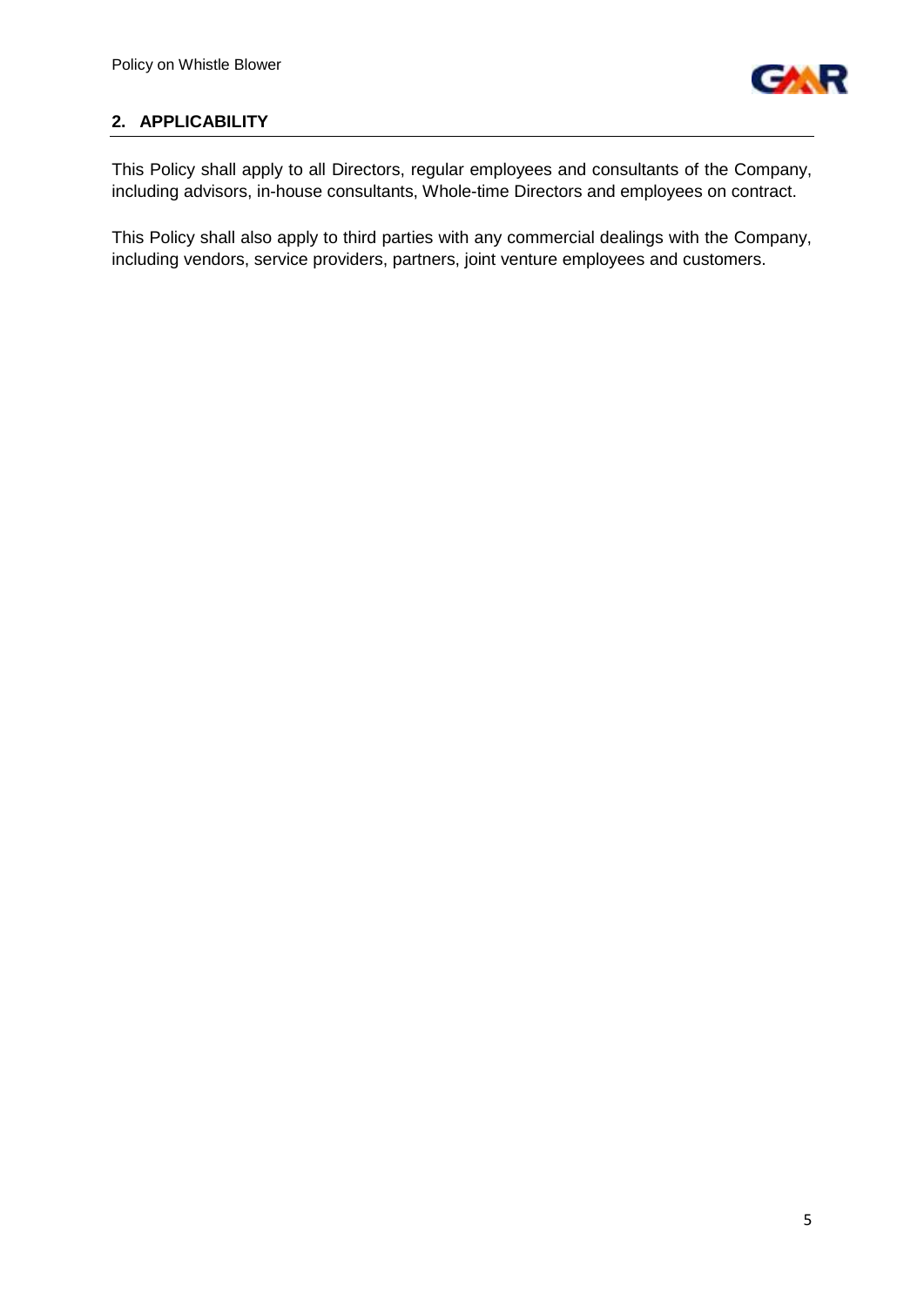

# **2. APPLICABILITY**

This Policy shall apply to all Directors, regular employees and consultants of the Company, including advisors, in-house consultants, Whole-time Directors and employees on contract.

This Policy shall also apply to third parties with any commercial dealings with the Company, including vendors, service providers, partners, joint venture employees and customers.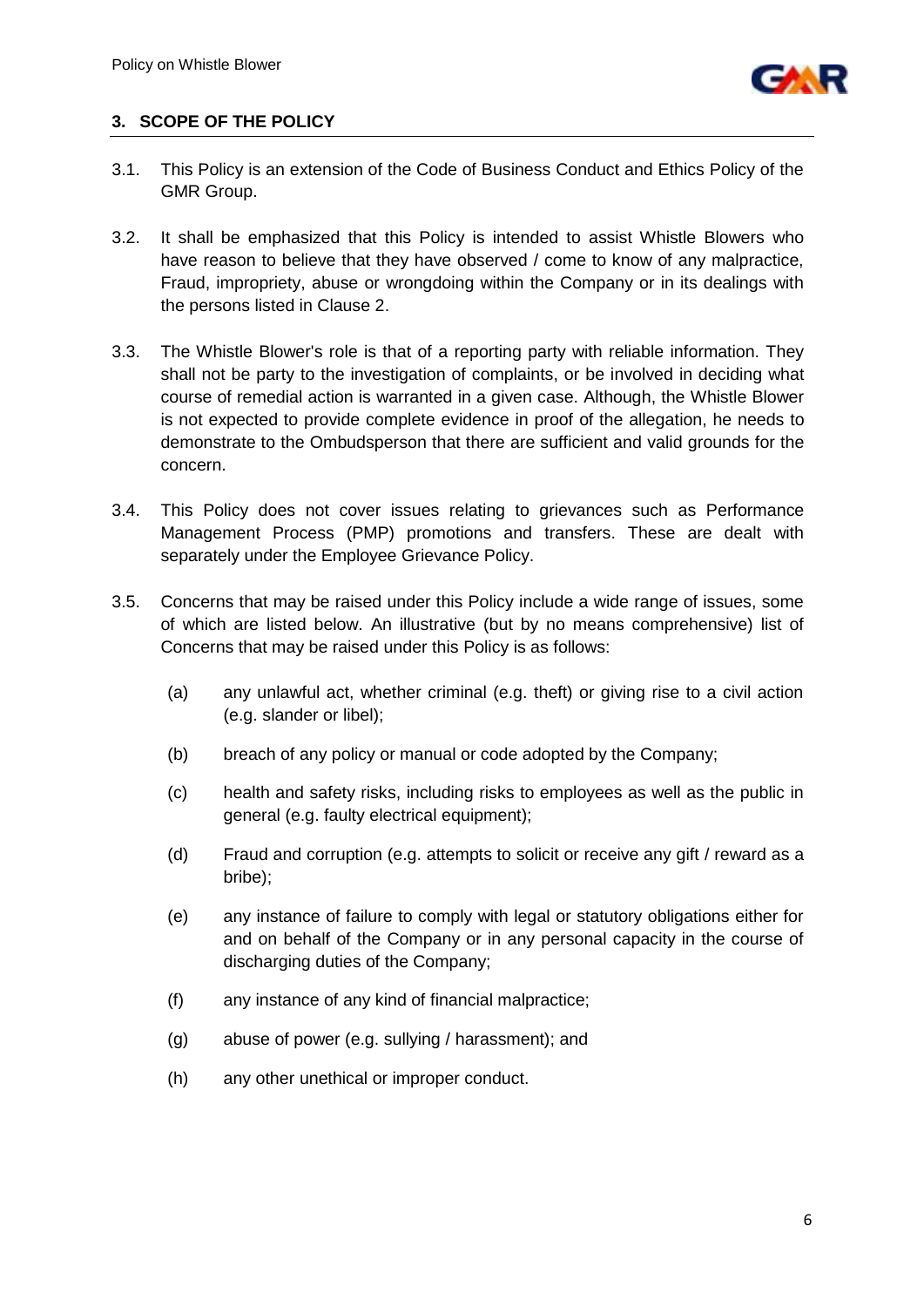

## **3. SCOPE OF THE POLICY**

- 3.1. This Policy is an extension of the Code of Business Conduct and Ethics Policy of the GMR Group.
- 3.2. It shall be emphasized that this Policy is intended to assist Whistle Blowers who have reason to believe that they have observed / come to know of any malpractice, Fraud, impropriety, abuse or wrongdoing within the Company or in its dealings with the persons listed in Clause 2.
- 3.3. The Whistle Blower's role is that of a reporting party with reliable information. They shall not be party to the investigation of complaints, or be involved in deciding what course of remedial action is warranted in a given case. Although, the Whistle Blower is not expected to provide complete evidence in proof of the allegation, he needs to demonstrate to the Ombudsperson that there are sufficient and valid grounds for the concern.
- 3.4. This Policy does not cover issues relating to grievances such as Performance Management Process (PMP) promotions and transfers. These are dealt with separately under the Employee Grievance Policy.
- 3.5. Concerns that may be raised under this Policy include a wide range of issues, some of which are listed below. An illustrative (but by no means comprehensive) list of Concerns that may be raised under this Policy is as follows:
	- (a) any unlawful act, whether criminal (e.g. theft) or giving rise to a civil action (e.g. slander or libel);
	- (b) breach of any policy or manual or code adopted by the Company;
	- (c) health and safety risks, including risks to employees as well as the public in general (e.g. faulty electrical equipment);
	- (d) Fraud and corruption (e.g. attempts to solicit or receive any gift / reward as a bribe);
	- (e) any instance of failure to comply with legal or statutory obligations either for and on behalf of the Company or in any personal capacity in the course of discharging duties of the Company;
	- (f) any instance of any kind of financial malpractice;
	- (g) abuse of power (e.g. sullying / harassment); and
	- (h) any other unethical or improper conduct.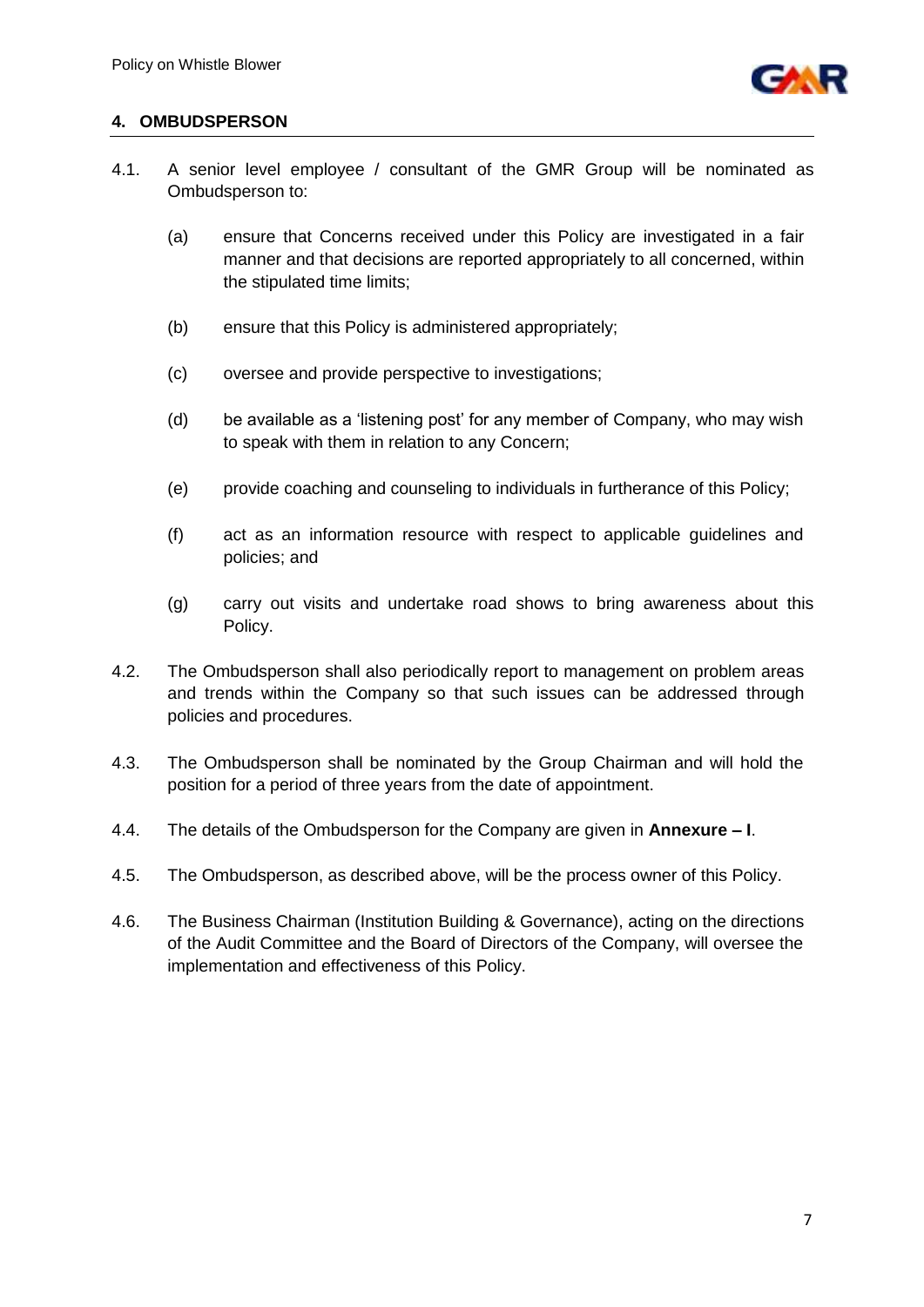

## **4. OMBUDSPERSON**

- 4.1. A senior level employee / consultant of the GMR Group will be nominated as Ombudsperson to:
	- (a) ensure that Concerns received under this Policy are investigated in a fair manner and that decisions are reported appropriately to all concerned, within the stipulated time limits;
	- (b) ensure that this Policy is administered appropriately;
	- (c) oversee and provide perspective to investigations;
	- (d) be available as a "listening post" for any member of Company, who may wish to speak with them in relation to any Concern;
	- (e) provide coaching and counseling to individuals in furtherance of this Policy;
	- (f) act as an information resource with respect to applicable guidelines and policies; and
	- (g) carry out visits and undertake road shows to bring awareness about this Policy.
- 4.2. The Ombudsperson shall also periodically report to management on problem areas and trends within the Company so that such issues can be addressed through policies and procedures.
- 4.3. The Ombudsperson shall be nominated by the Group Chairman and will hold the position for a period of three years from the date of appointment.
- 4.4. The details of the Ombudsperson for the Company are given in **Annexure – I**.
- 4.5. The Ombudsperson, as described above, will be the process owner of this Policy.
- 4.6. The Business Chairman (Institution Building & Governance), acting on the directions of the Audit Committee and the Board of Directors of the Company, will oversee the implementation and effectiveness of this Policy.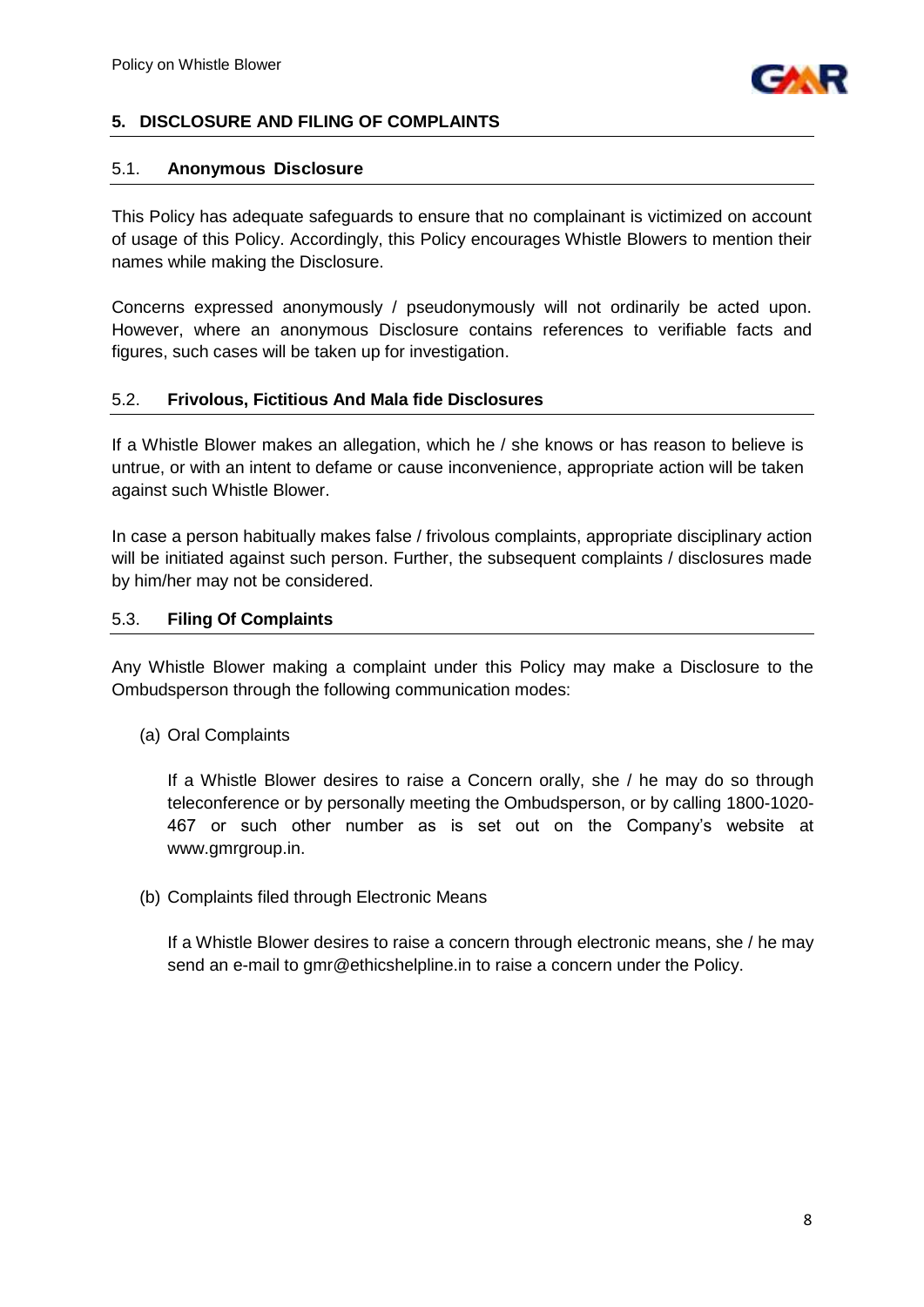

## **5. DISCLOSURE AND FILING OF COMPLAINTS**

#### 5.1. **Anonymous Disclosure**

This Policy has adequate safeguards to ensure that no complainant is victimized on account of usage of this Policy. Accordingly, this Policy encourages Whistle Blowers to mention their names while making the Disclosure.

Concerns expressed anonymously / pseudonymously will not ordinarily be acted upon. However, where an anonymous Disclosure contains references to verifiable facts and figures, such cases will be taken up for investigation.

#### 5.2. **Frivolous, Fictitious And Mala fide Disclosures**

If a Whistle Blower makes an allegation, which he / she knows or has reason to believe is untrue, or with an intent to defame or cause inconvenience, appropriate action will be taken against such Whistle Blower.

In case a person habitually makes false / frivolous complaints, appropriate disciplinary action will be initiated against such person. Further, the subsequent complaints / disclosures made by him/her may not be considered.

#### 5.3. **Filing Of Complaints**

Any Whistle Blower making a complaint under this Policy may make a Disclosure to the Ombudsperson through the following communication modes:

(a) Oral Complaints

If a Whistle Blower desires to raise a Concern orally, she / he may do so through teleconference or by personally meeting the Ombudsperson, or by calling 1800-1020- 467 or such other number as is set out on the Company"s website at [www.gmrgroup.in.](http://www.gmrgroup.in/)

(b) Complaints filed through Electronic Means

If a Whistle Blower desires to raise a concern through electronic means, she / he may send an e-mail to gmr@ethicshelpline.in to raise a concern under the Policy.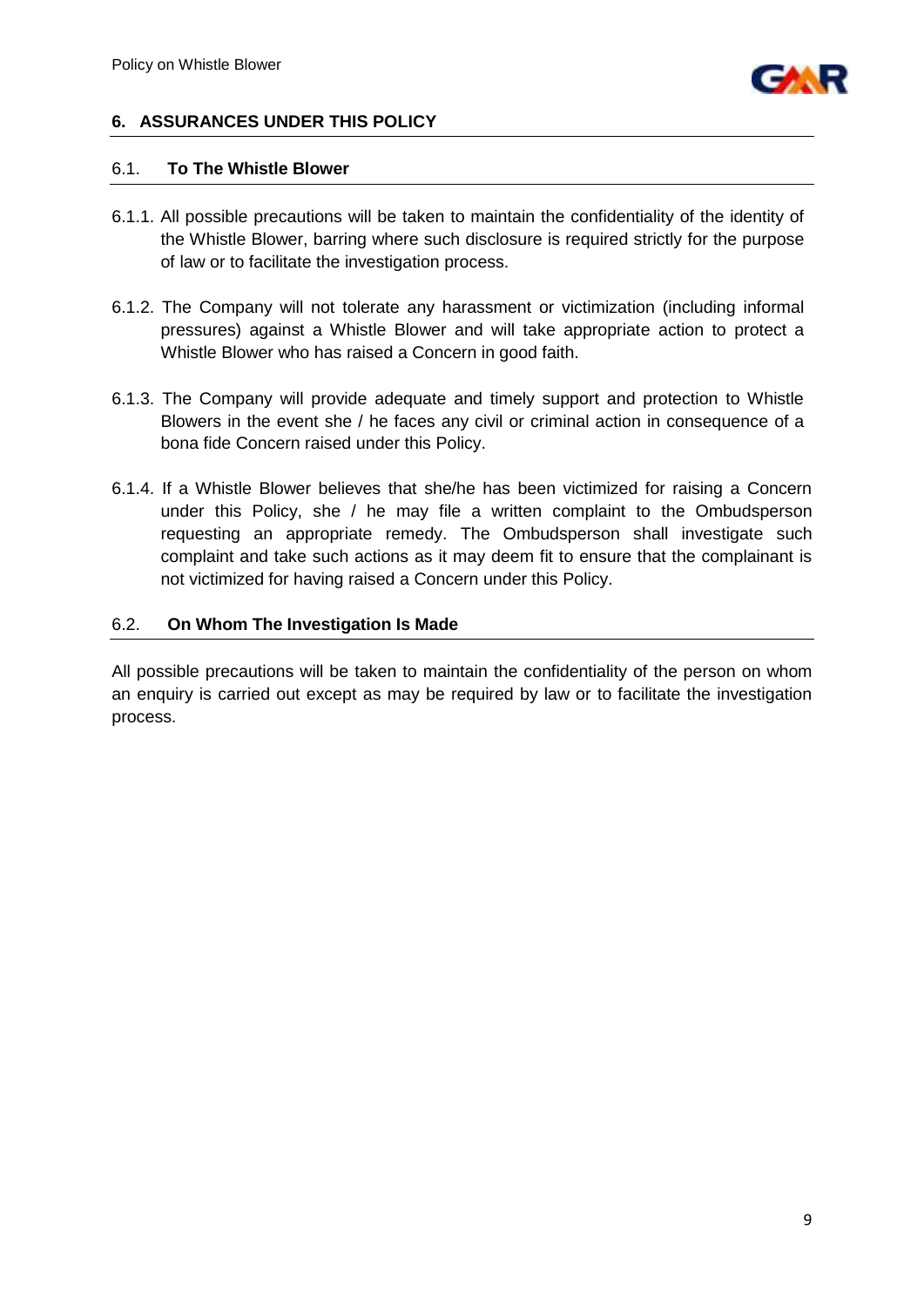

## **6. ASSURANCES UNDER THIS POLICY**

#### 6.1. **To The Whistle Blower**

- 6.1.1. All possible precautions will be taken to maintain the confidentiality of the identity of the Whistle Blower, barring where such disclosure is required strictly for the purpose of law or to facilitate the investigation process.
- 6.1.2. The Company will not tolerate any harassment or victimization (including informal pressures) against a Whistle Blower and will take appropriate action to protect a Whistle Blower who has raised a Concern in good faith.
- 6.1.3. The Company will provide adequate and timely support and protection to Whistle Blowers in the event she / he faces any civil or criminal action in consequence of a bona fide Concern raised under this Policy.
- 6.1.4. If a Whistle Blower believes that she/he has been victimized for raising a Concern under this Policy, she / he may file a written complaint to the Ombudsperson requesting an appropriate remedy. The Ombudsperson shall investigate such complaint and take such actions as it may deem fit to ensure that the complainant is not victimized for having raised a Concern under this Policy.

#### 6.2. **On Whom The Investigation Is Made**

All possible precautions will be taken to maintain the confidentiality of the person on whom an enquiry is carried out except as may be required by law or to facilitate the investigation process.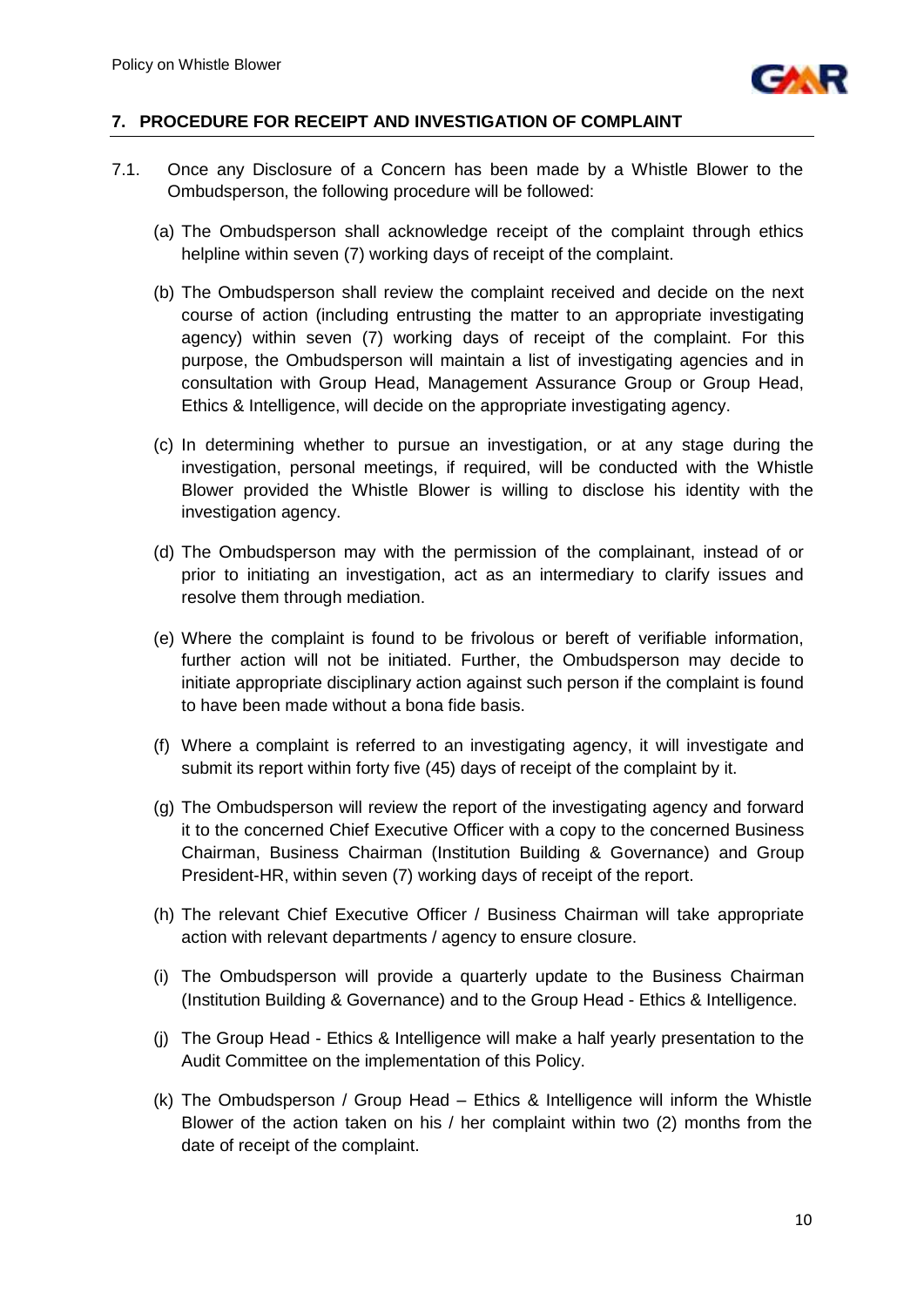

#### **7. PROCEDURE FOR RECEIPT AND INVESTIGATION OF COMPLAINT**

- 7.1. Once any Disclosure of a Concern has been made by a Whistle Blower to the Ombudsperson, the following procedure will be followed:
	- (a) The Ombudsperson shall acknowledge receipt of the complaint through ethics helpline within seven (7) working days of receipt of the complaint.
	- (b) The Ombudsperson shall review the complaint received and decide on the next course of action (including entrusting the matter to an appropriate investigating agency) within seven (7) working days of receipt of the complaint. For this purpose, the Ombudsperson will maintain a list of investigating agencies and in consultation with Group Head, Management Assurance Group or Group Head, Ethics & Intelligence, will decide on the appropriate investigating agency.
	- (c) In determining whether to pursue an investigation, or at any stage during the investigation, personal meetings, if required, will be conducted with the Whistle Blower provided the Whistle Blower is willing to disclose his identity with the investigation agency.
	- (d) The Ombudsperson may with the permission of the complainant, instead of or prior to initiating an investigation, act as an intermediary to clarify issues and resolve them through mediation.
	- (e) Where the complaint is found to be frivolous or bereft of verifiable information, further action will not be initiated. Further, the Ombudsperson may decide to initiate appropriate disciplinary action against such person if the complaint is found to have been made without a bona fide basis.
	- (f) Where a complaint is referred to an investigating agency, it will investigate and submit its report within forty five (45) days of receipt of the complaint by it.
	- (g) The Ombudsperson will review the report of the investigating agency and forward it to the concerned Chief Executive Officer with a copy to the concerned Business Chairman, Business Chairman (Institution Building & Governance) and Group President-HR, within seven (7) working days of receipt of the report.
	- (h) The relevant Chief Executive Officer / Business Chairman will take appropriate action with relevant departments / agency to ensure closure.
	- (i) The Ombudsperson will provide a quarterly update to the Business Chairman (Institution Building & Governance) and to the Group Head - Ethics & Intelligence.
	- (j) The Group Head Ethics & Intelligence will make a half yearly presentation to the Audit Committee on the implementation of this Policy.
	- (k) The Ombudsperson / Group Head Ethics & Intelligence will inform the Whistle Blower of the action taken on his / her complaint within two (2) months from the date of receipt of the complaint.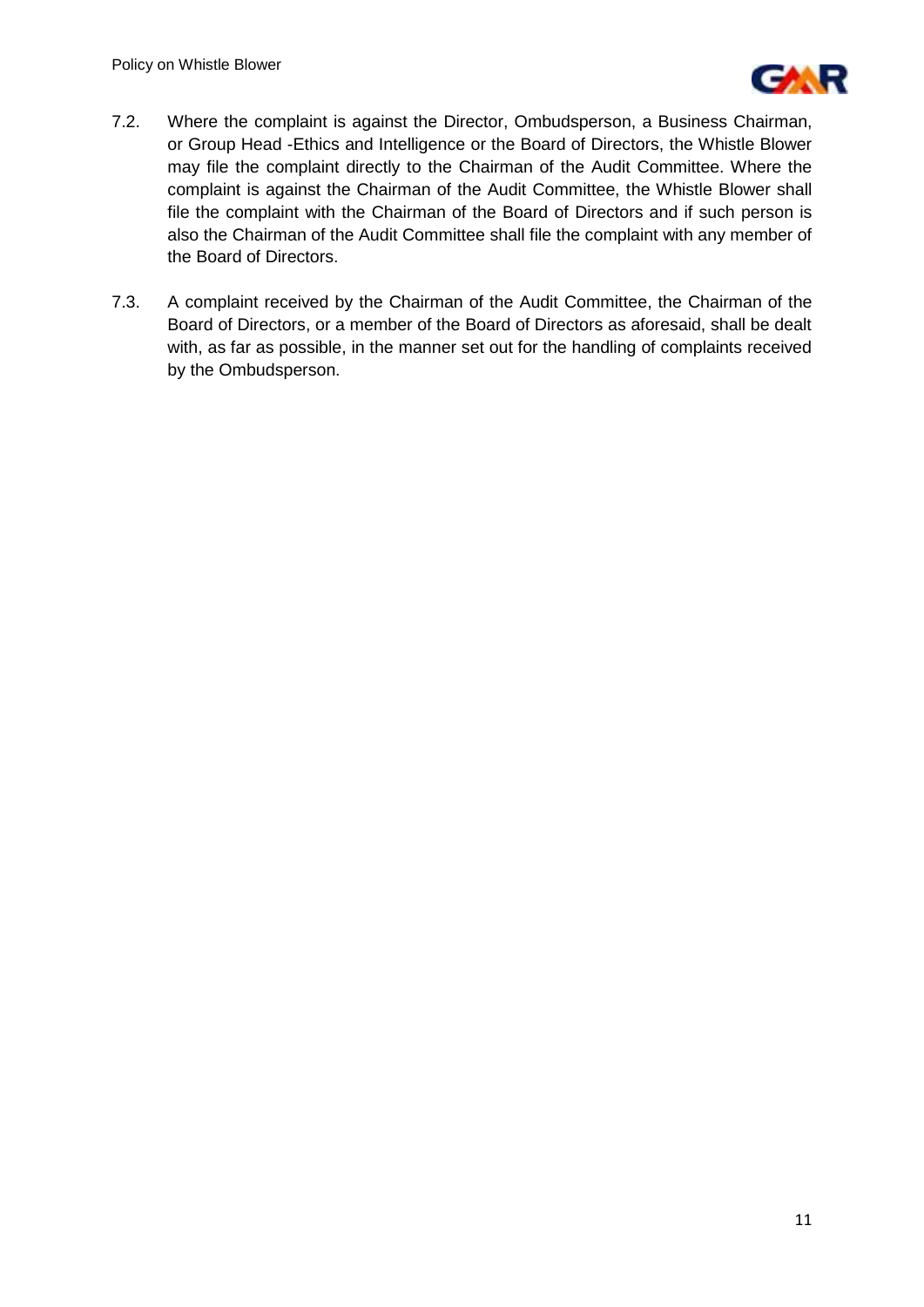

- 7.2. Where the complaint is against the Director, Ombudsperson, a Business Chairman, or Group Head -Ethics and Intelligence or the Board of Directors, the Whistle Blower may file the complaint directly to the Chairman of the Audit Committee. Where the complaint is against the Chairman of the Audit Committee, the Whistle Blower shall file the complaint with the Chairman of the Board of Directors and if such person is also the Chairman of the Audit Committee shall file the complaint with any member of the Board of Directors.
- 7.3. A complaint received by the Chairman of the Audit Committee, the Chairman of the Board of Directors, or a member of the Board of Directors as aforesaid, shall be dealt with, as far as possible, in the manner set out for the handling of complaints received by the Ombudsperson.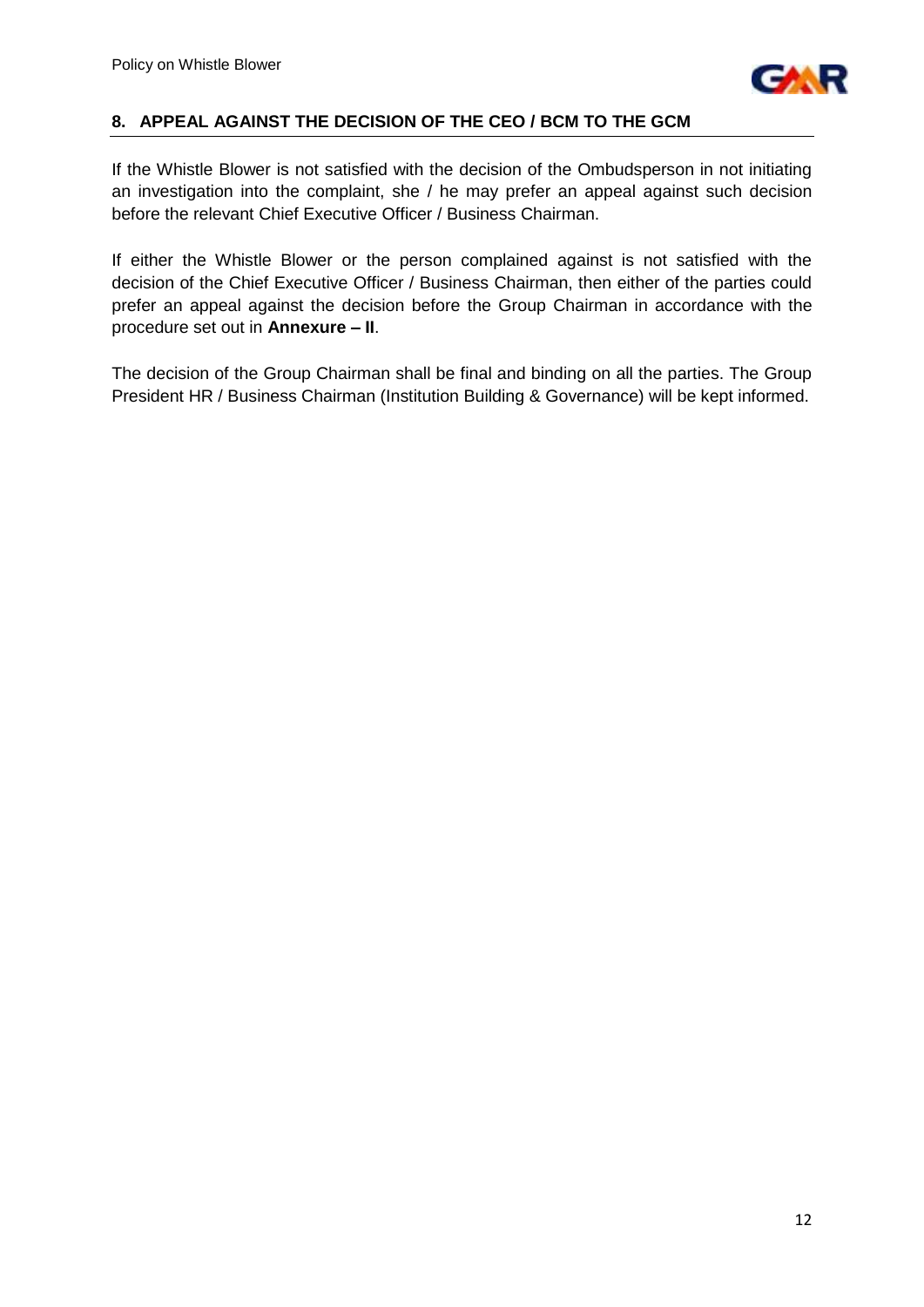

#### **8. APPEAL AGAINST THE DECISION OF THE CEO / BCM TO THE GCM**

If the Whistle Blower is not satisfied with the decision of the Ombudsperson in not initiating an investigation into the complaint, she / he may prefer an appeal against such decision before the relevant Chief Executive Officer / Business Chairman.

If either the Whistle Blower or the person complained against is not satisfied with the decision of the Chief Executive Officer / Business Chairman, then either of the parties could prefer an appeal against the decision before the Group Chairman in accordance with the procedure set out in **Annexure – II**.

The decision of the Group Chairman shall be final and binding on all the parties. The Group President HR / Business Chairman (Institution Building & Governance) will be kept informed.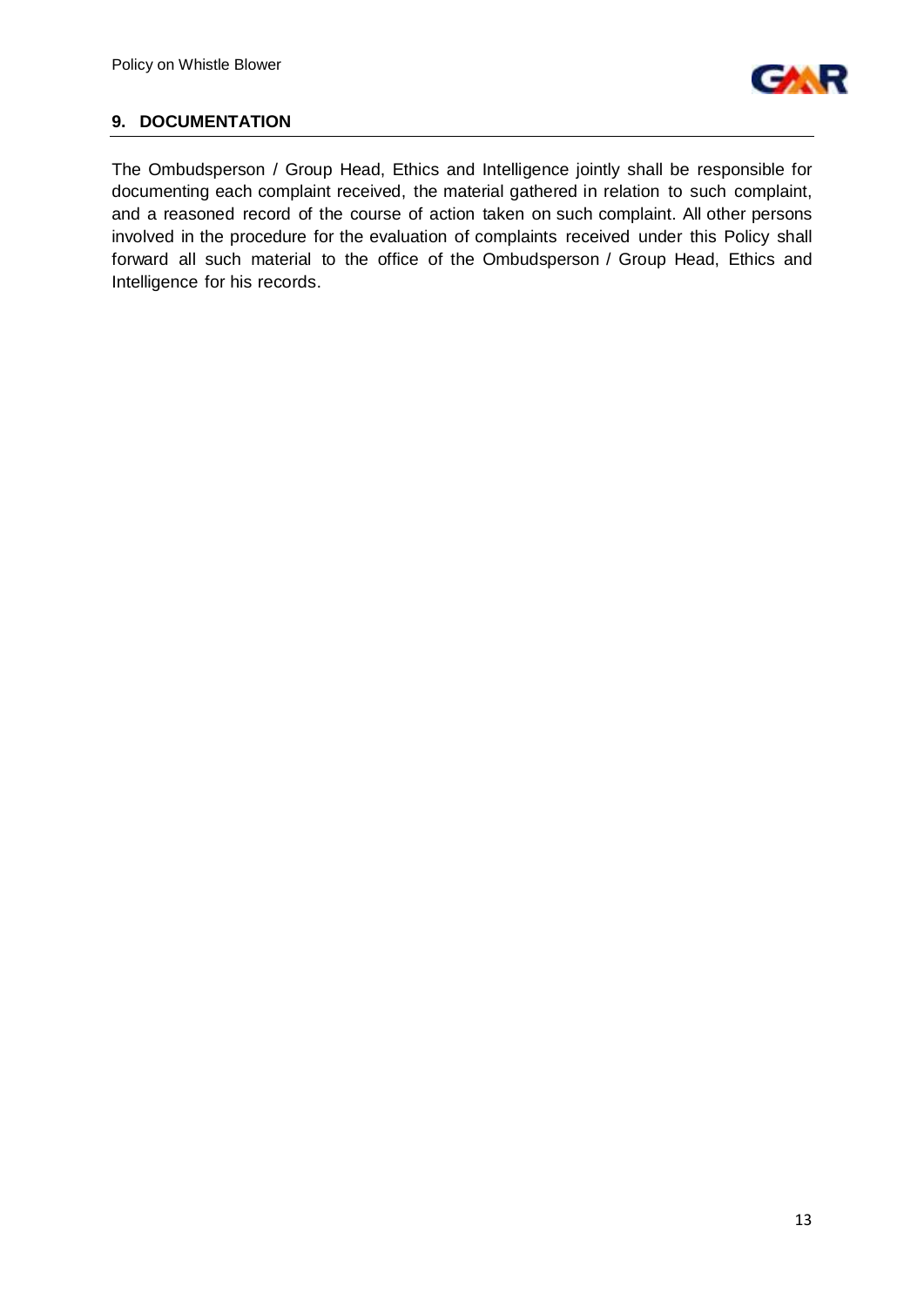

## **9. DOCUMENTATION**

The Ombudsperson / Group Head, Ethics and Intelligence jointly shall be responsible for documenting each complaint received, the material gathered in relation to such complaint, and a reasoned record of the course of action taken on such complaint. All other persons involved in the procedure for the evaluation of complaints received under this Policy shall forward all such material to the office of the Ombudsperson / Group Head, Ethics and Intelligence for his records.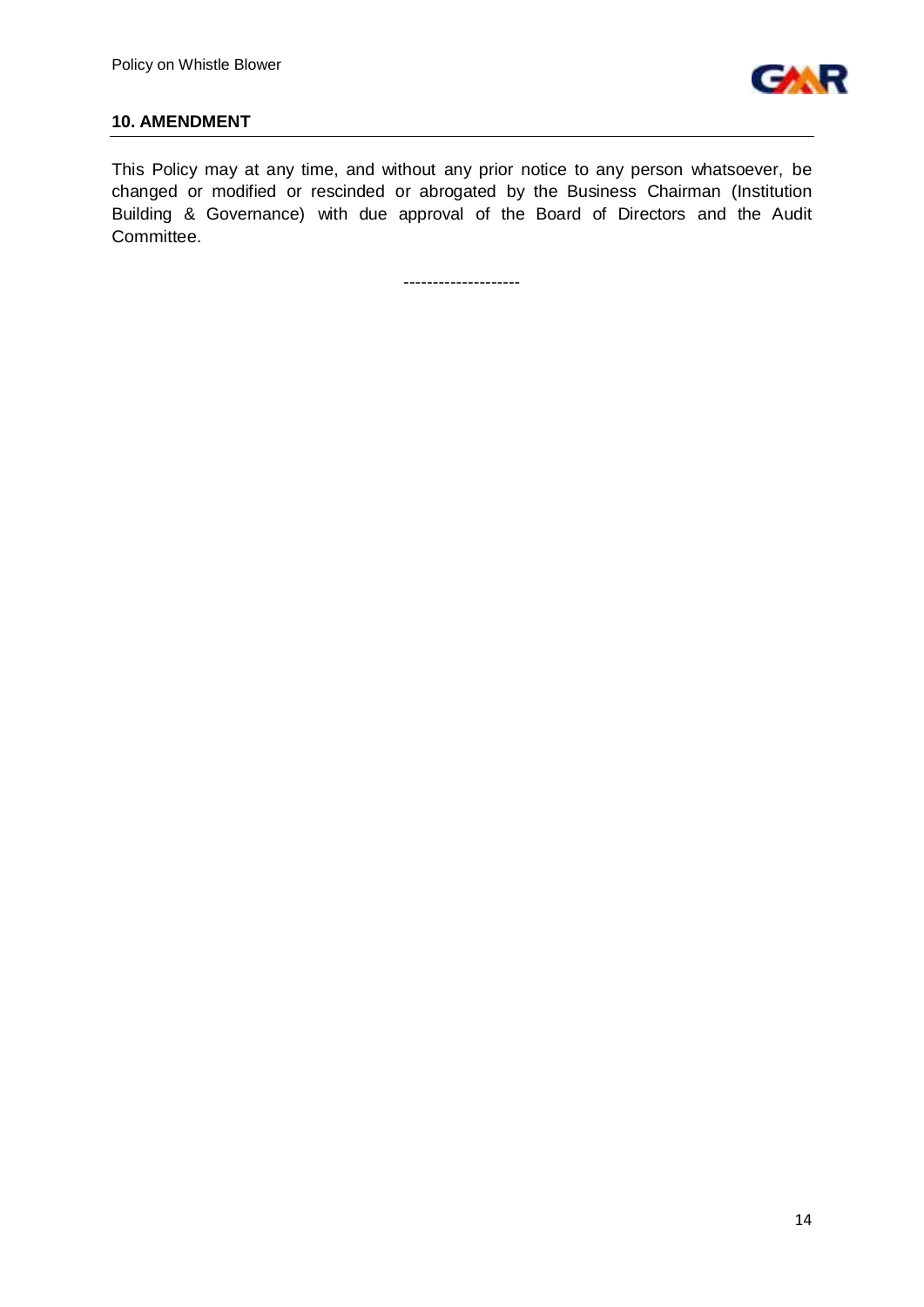

#### **10. AMENDMENT**

This Policy may at any time, and without any prior notice to any person whatsoever, be changed or modified or rescinded or abrogated by the Business Chairman (Institution Building & Governance) with due approval of the Board of Directors and the Audit Committee.

--------------------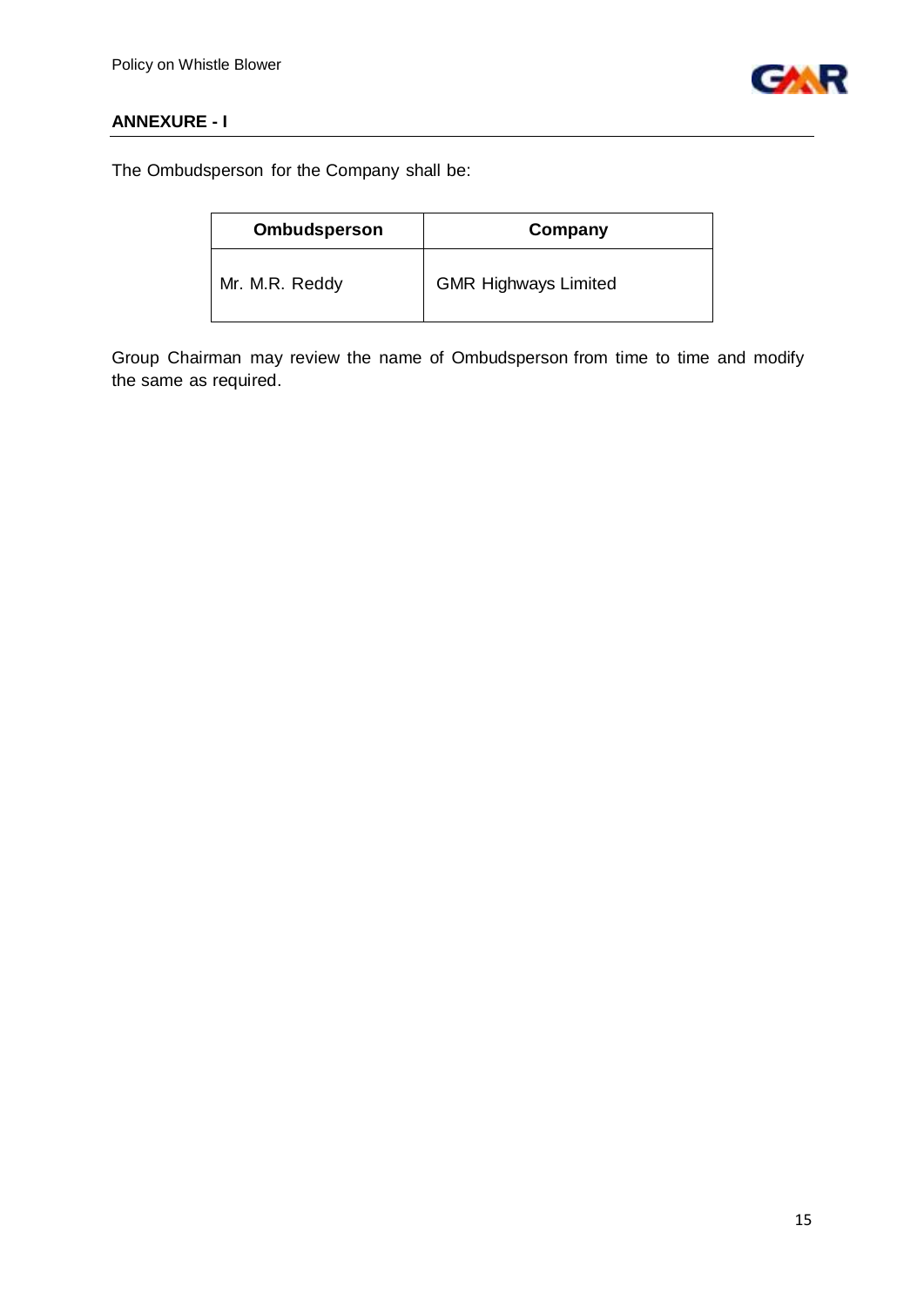

# **ANNEXURE - I**

The Ombudsperson for the Company shall be:

| <b>Ombudsperson</b> | Company                     |
|---------------------|-----------------------------|
| Mr. M.R. Reddy      | <b>GMR Highways Limited</b> |

Group Chairman may review the name of Ombudsperson from time to time and modify the same as required.